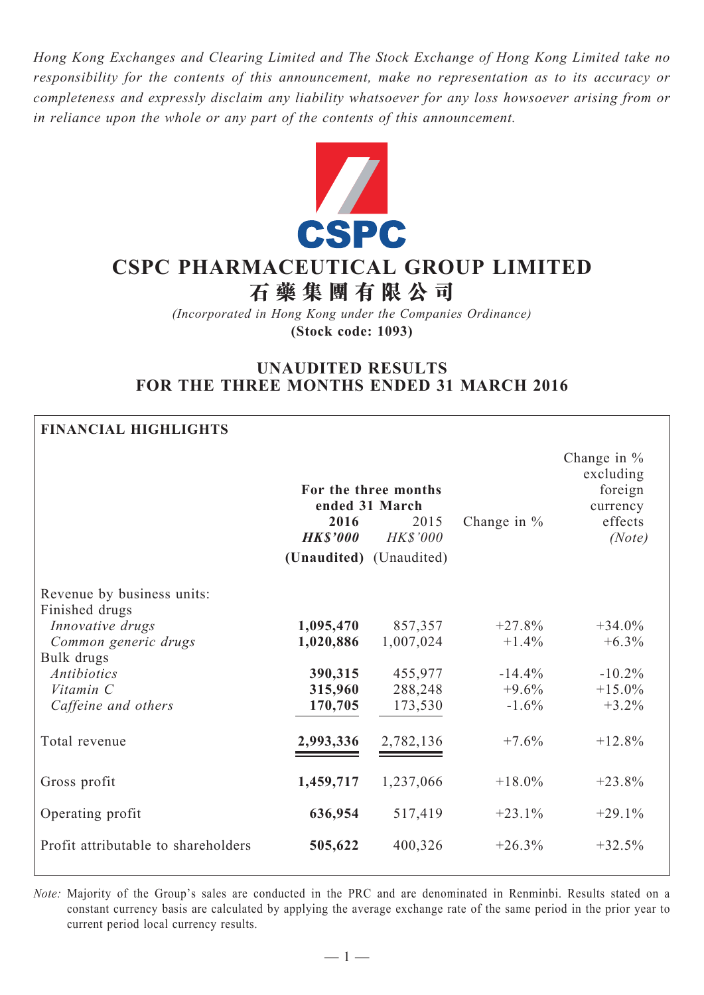*Hong Kong Exchanges and Clearing Limited and The Stock Exchange of Hong Kong Limited take no responsibility for the contents of this announcement, make no representation as to its accuracy or completeness and expressly disclaim any liability whatsoever for any loss howsoever arising from or in reliance upon the whole or any part of the contents of this announcement.*



# **CSPC Pharmaceutical Group Limited 石 藥 集 團 有 限 公 司**

*(Incorporated in Hong Kong under the Companies Ordinance)* **(Stock code: 1093)**

# **UNAUDITED RESULTS FOR THE THREE MONTHS ENDED 31 MARCH 2016**

#### **Financial Highlights**

|                                              | ended 31 March<br>2016<br><b>HK\$'000</b> | For the three months<br>2015<br><b>HK\$'000</b> | Change in $%$ | Change in $%$<br>excluding<br>foreign<br>currency<br>effects<br>(Note) |
|----------------------------------------------|-------------------------------------------|-------------------------------------------------|---------------|------------------------------------------------------------------------|
|                                              | (Unaudited) (Unaudited)                   |                                                 |               |                                                                        |
| Revenue by business units:<br>Finished drugs |                                           |                                                 |               |                                                                        |
| Innovative drugs                             | 1,095,470                                 | 857,357                                         | $+27.8%$      | $+34.0%$                                                               |
| Common generic drugs                         | 1,020,886                                 | 1,007,024                                       | $+1.4%$       | $+6.3\%$                                                               |
| Bulk drugs                                   |                                           |                                                 |               |                                                                        |
| <b>Antibiotics</b>                           | 390,315                                   | 455,977                                         | $-14.4%$      | $-10.2%$                                                               |
| Vitamin C                                    | 315,960                                   | 288,248                                         | $+9.6%$       | $+15.0%$                                                               |
| Caffeine and others                          | 170,705                                   | 173,530                                         | $-1.6\%$      | $+3.2%$                                                                |
|                                              |                                           |                                                 |               |                                                                        |
| Total revenue                                | 2,993,336                                 | 2,782,136                                       | $+7.6%$       | $+12.8%$                                                               |
|                                              |                                           |                                                 |               |                                                                        |
| Gross profit                                 | 1,459,717                                 | 1,237,066                                       | $+18.0\%$     | $+23.8%$                                                               |
|                                              |                                           |                                                 |               |                                                                        |
| Operating profit                             | 636,954                                   | 517,419                                         | $+23.1%$      | $+29.1%$                                                               |
|                                              |                                           |                                                 |               |                                                                        |
| Profit attributable to shareholders          | 505,622                                   | 400,326                                         | $+26.3%$      | $+32.5%$                                                               |
|                                              |                                           |                                                 |               |                                                                        |

*Note:* Majority of the Group's sales are conducted in the PRC and are denominated in Renminbi. Results stated on a constant currency basis are calculated by applying the average exchange rate of the same period in the prior year to current period local currency results.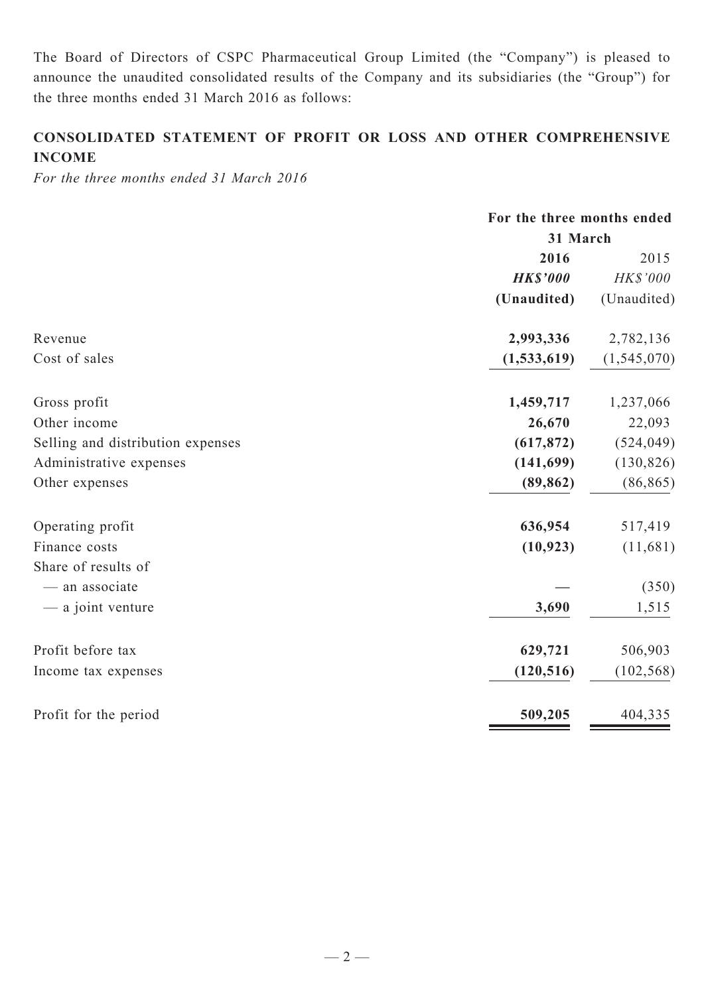The Board of Directors of CSPC Pharmaceutical Group Limited (the "Company") is pleased to announce the unaudited consolidated results of the Company and its subsidiaries (the "Group") for the three months ended 31 March 2016 as follows:

# **CONSOLIDATED STATEMENT OF PROFIT OR LOSS AND OTHER COMPREHENSIVE INCOME**

*For the three months ended 31 March 2016*

|                                   | For the three months ended |               |  |
|-----------------------------------|----------------------------|---------------|--|
|                                   | 31 March                   |               |  |
|                                   | 2016                       | 2015          |  |
|                                   | <b>HK\$'000</b>            | HK\$'000      |  |
|                                   | (Unaudited)                | (Unaudited)   |  |
| Revenue                           | 2,993,336                  | 2,782,136     |  |
| Cost of sales                     | (1, 533, 619)              | (1, 545, 070) |  |
| Gross profit                      | 1,459,717                  | 1,237,066     |  |
| Other income                      | 26,670                     | 22,093        |  |
| Selling and distribution expenses | (617, 872)                 | (524, 049)    |  |
| Administrative expenses           | (141, 699)                 | (130, 826)    |  |
| Other expenses                    | (89, 862)                  | (86, 865)     |  |
| Operating profit                  | 636,954                    | 517,419       |  |
| Finance costs                     | (10, 923)                  | (11,681)      |  |
| Share of results of               |                            |               |  |
| - an associate                    |                            | (350)         |  |
| - a joint venture                 | 3,690                      | 1,515         |  |
| Profit before tax                 | 629,721                    | 506,903       |  |
| Income tax expenses               | (120, 516)                 | (102, 568)    |  |
| Profit for the period             | 509,205                    | 404,335       |  |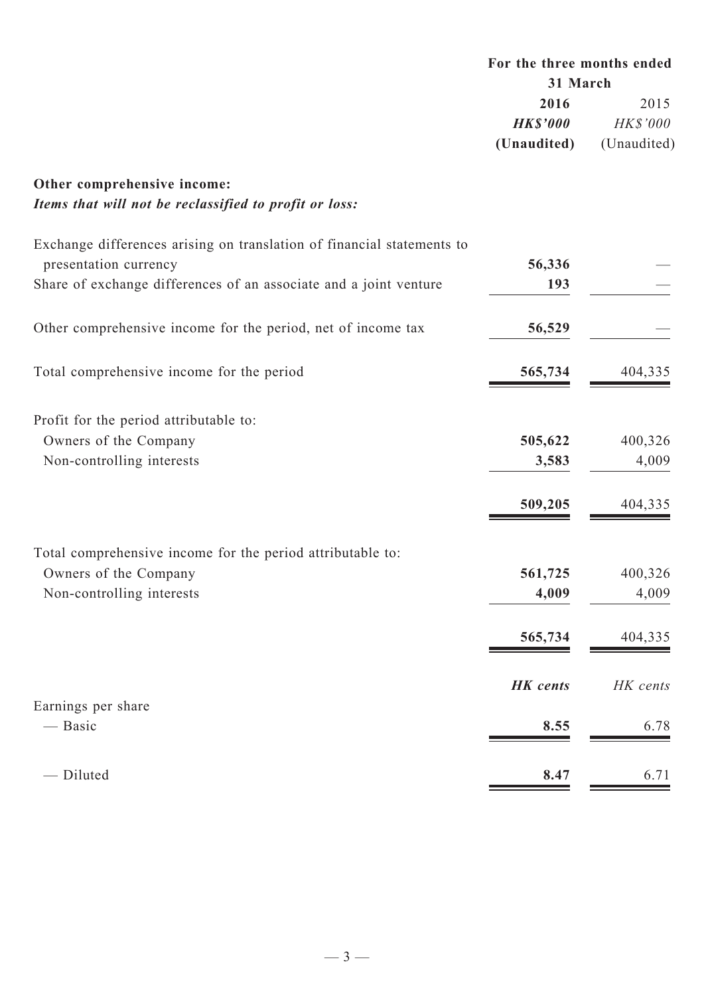# **For the three months ended 31 March 2016** 2015 *HK\$'000 HK\$'000* **(Unaudited)** (Unaudited)

# **Other comprehensive income:** *Items that will not be reclassified to profit or loss:*

| Exchange differences arising on translation of financial statements to |                 |          |
|------------------------------------------------------------------------|-----------------|----------|
| presentation currency                                                  | 56,336          |          |
| Share of exchange differences of an associate and a joint venture      | 193             |          |
| Other comprehensive income for the period, net of income tax           | 56,529          |          |
| Total comprehensive income for the period                              | 565,734         | 404,335  |
| Profit for the period attributable to:                                 |                 |          |
| Owners of the Company                                                  | 505,622         | 400,326  |
| Non-controlling interests                                              | 3,583           | 4,009    |
|                                                                        | 509,205         | 404,335  |
| Total comprehensive income for the period attributable to:             |                 |          |
| Owners of the Company                                                  | 561,725         | 400,326  |
| Non-controlling interests                                              | 4,009           | 4,009    |
|                                                                        | 565,734         | 404,335  |
|                                                                        | <b>HK</b> cents | HK cents |
| Earnings per share                                                     |                 |          |
| — Basic                                                                | 8.55            | 6.78     |
| - Diluted                                                              | 8.47            | 6.71     |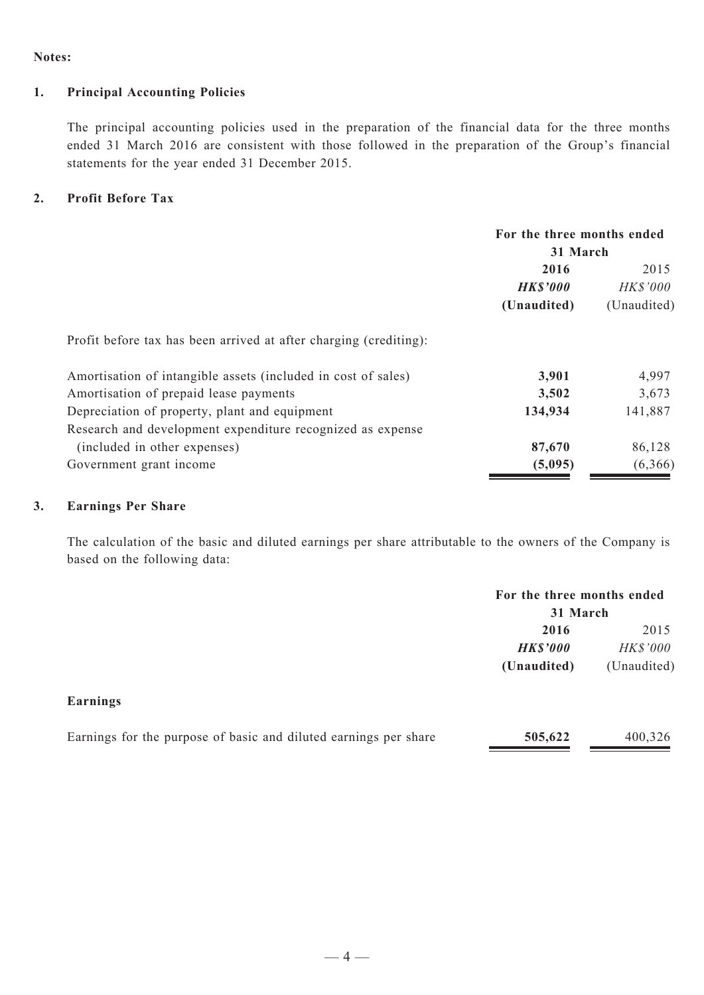#### **Notes:**

#### **1. Principal Accounting Policies**

The principal accounting policies used in the preparation of the financial data for the three months ended 31 March 2016 are consistent with those followed in the preparation of the Group's financial statements for the year ended 31 December 2015.

#### **2. Profit Before Tax**

|                                                                   | For the three months ended<br>31 March |             |  |
|-------------------------------------------------------------------|----------------------------------------|-------------|--|
|                                                                   |                                        |             |  |
|                                                                   | 2016                                   | 2015        |  |
|                                                                   | <b>HK\$'000</b>                        | HK\$'000    |  |
|                                                                   | (Unaudited)                            | (Unaudited) |  |
| Profit before tax has been arrived at after charging (crediting): |                                        |             |  |
| Amortisation of intangible assets (included in cost of sales)     | 3,901                                  | 4,997       |  |
| Amortisation of prepaid lease payments                            | 3,502                                  | 3,673       |  |
| Depreciation of property, plant and equipment                     | 134,934                                | 141,887     |  |
| Research and development expenditure recognized as expense        |                                        |             |  |
| (included in other expenses)                                      | 87,670                                 | 86,128      |  |
| Government grant income                                           | (5,095)                                | (6,366)     |  |

### **3. Earnings Per Share**

The calculation of the basic and diluted earnings per share attributable to the owners of the Company is based on the following data:

|                 |                 | For the three months ended<br>31 March |  |  |
|-----------------|-----------------|----------------------------------------|--|--|
|                 | 2016            | 2015                                   |  |  |
|                 | <b>HK\$'000</b> | HK\$'000                               |  |  |
|                 | (Unaudited)     | (Unaudited)                            |  |  |
| <b>Earnings</b> |                 |                                        |  |  |

| Earnings for the purpose of basic and diluted earnings per share | 505,622 | 400,326 |
|------------------------------------------------------------------|---------|---------|
|                                                                  |         |         |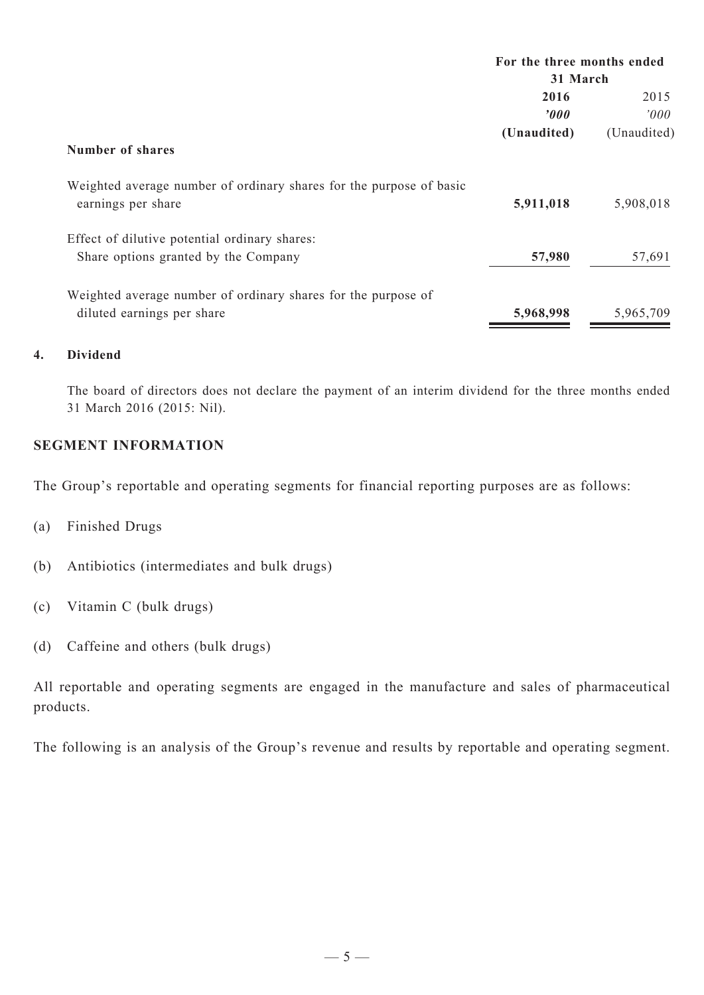|                                                                                           | For the three months ended |                |  |
|-------------------------------------------------------------------------------------------|----------------------------|----------------|--|
|                                                                                           | 31 March                   |                |  |
|                                                                                           | 2016                       | 2015           |  |
|                                                                                           | 2000                       | $2000^{\circ}$ |  |
|                                                                                           | (Unaudited)                | (Unaudited)    |  |
| Number of shares                                                                          |                            |                |  |
| Weighted average number of ordinary shares for the purpose of basic<br>earnings per share | 5,911,018                  | 5,908,018      |  |
| Effect of dilutive potential ordinary shares:                                             | 57,980                     |                |  |
| Share options granted by the Company                                                      |                            | 57,691         |  |
| Weighted average number of ordinary shares for the purpose of                             |                            |                |  |
| diluted earnings per share                                                                | 5,968,998                  | 5,965,709      |  |

# **4. Dividend**

The board of directors does not declare the payment of an interim dividend for the three months ended 31 March 2016 (2015: Nil).

# **SEGMENT INFORMATION**

The Group's reportable and operating segments for financial reporting purposes are as follows:

- (a) Finished Drugs
- (b) Antibiotics (intermediates and bulk drugs)
- (c) Vitamin C (bulk drugs)
- (d) Caffeine and others (bulk drugs)

All reportable and operating segments are engaged in the manufacture and sales of pharmaceutical products.

The following is an analysis of the Group's revenue and results by reportable and operating segment.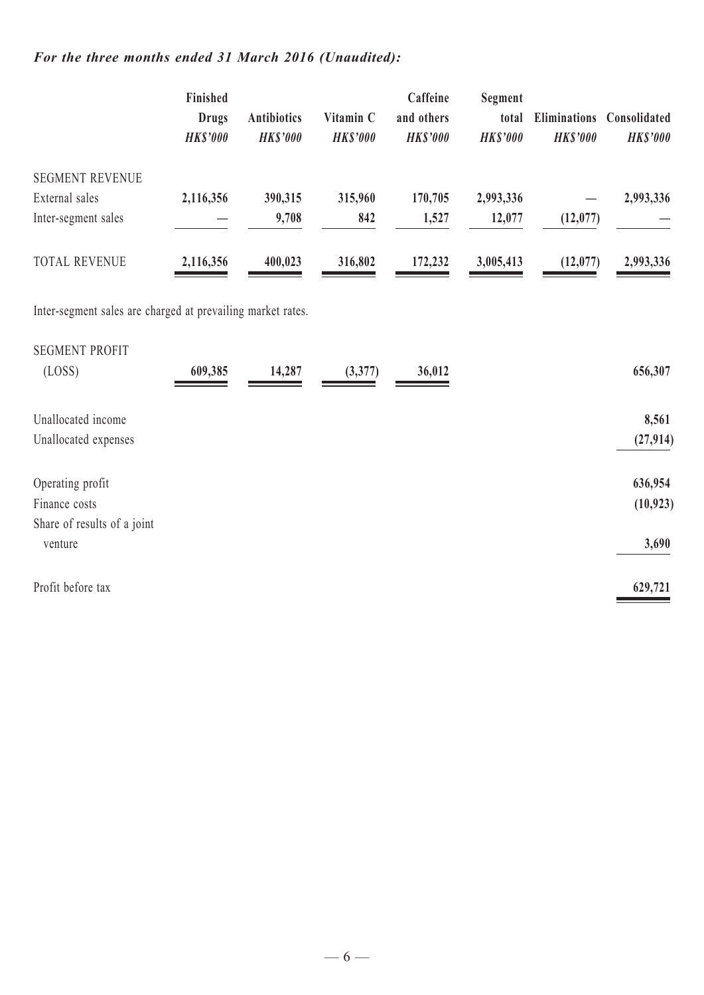# *For the three months ended 31 March 2016 (Unaudited):*

|                        | Finished<br><b>Drugs</b><br><b>HK\$'000</b> | <b>Antibiotics</b><br><b>HKS'000</b> | Vitamin C<br><b>HKS'000</b> | Caffeine<br>and others<br><b>HKS'000</b> | Segment<br>total<br><b>HKS'000</b> | <b>Eliminations</b><br><b>HK\$'000</b> | Consolidated<br><b>HK\$'000</b> |
|------------------------|---------------------------------------------|--------------------------------------|-----------------------------|------------------------------------------|------------------------------------|----------------------------------------|---------------------------------|
| <b>SEGMENT REVENUE</b> |                                             |                                      |                             |                                          |                                    |                                        |                                 |
| External sales         | 2,116,356                                   | 390,315                              | 315,960                     | 170,705                                  | 2,993,336                          |                                        | 2,993,336                       |
| Inter-segment sales    |                                             | 9,708                                | 842                         | 1,527                                    | 12,077                             | (12,077)                               |                                 |
| <b>TOTAL REVENUE</b>   | 2,116,356                                   | 400,023                              | 316,802                     | 172,232                                  | 3,005,413                          | (12,077)                               | 2,993,336                       |

Inter-segment sales are charged at prevailing market rates.

| <b>SEGMENT PROFIT</b>       |         |        |         |        |           |
|-----------------------------|---------|--------|---------|--------|-----------|
| (LOSS)                      | 609,385 | 14,287 | (3,377) | 36,012 | 656,307   |
| Unallocated income          |         |        |         |        |           |
|                             |         |        |         |        | 8,561     |
| Unallocated expenses        |         |        |         |        | (27, 914) |
|                             |         |        |         |        |           |
| Operating profit            |         |        |         |        | 636,954   |
| Finance costs               |         |        |         |        | (10, 923) |
| Share of results of a joint |         |        |         |        |           |
| venture                     |         |        |         |        | 3,690     |
| Profit before tax           |         |        |         |        | 629,721   |
|                             |         |        |         |        |           |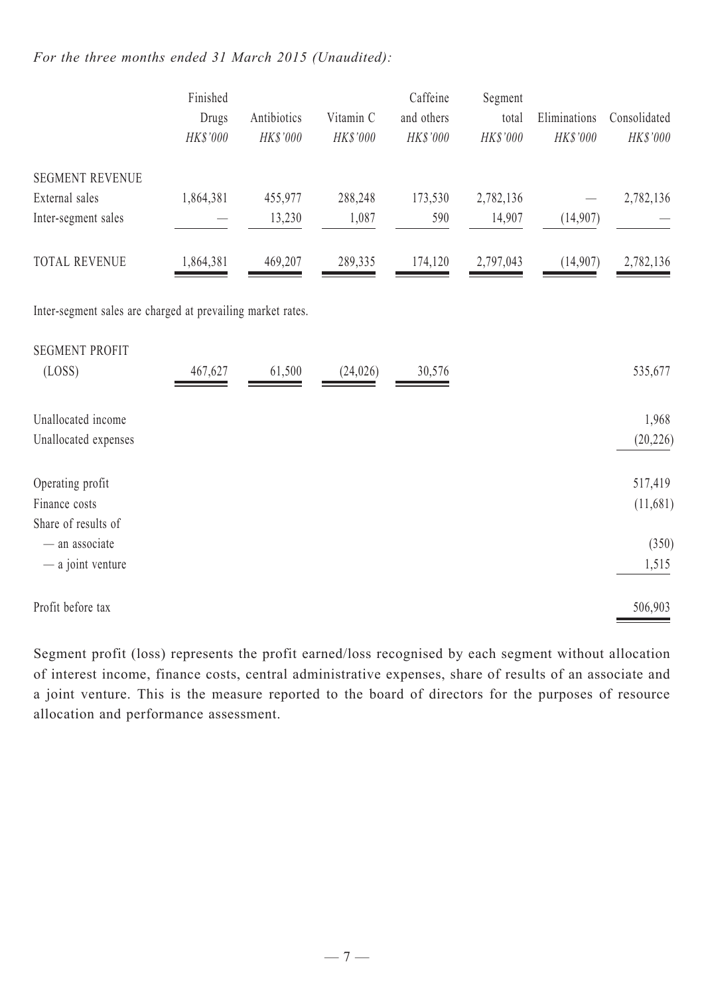### *For the three months ended 31 March 2015 (Unaudited):*

|                                                             | Finished<br>Drugs<br>HK\$'000 | Antibiotics<br>HK\$'000 | Vitamin C<br>HK\$'000 | Caffeine<br>and others<br>HK\$'000 | Segment<br>total<br>HK\$'000 | Eliminations<br>HK\$'000 | Consolidated<br>$HK\$ '000 |
|-------------------------------------------------------------|-------------------------------|-------------------------|-----------------------|------------------------------------|------------------------------|--------------------------|----------------------------|
| <b>SEGMENT REVENUE</b>                                      |                               |                         |                       |                                    |                              |                          |                            |
| External sales                                              | 1,864,381                     | 455,977                 | 288,248               | 173,530                            | 2,782,136                    |                          | 2,782,136                  |
| Inter-segment sales                                         |                               | 13,230                  | 1,087                 | 590                                | 14,907                       | (14,907)                 |                            |
| <b>TOTAL REVENUE</b>                                        | 1,864,381                     | 469,207                 | 289,335               | 174,120                            | 2,797,043                    | (14,907)                 | 2,782,136                  |
| Inter-segment sales are charged at prevailing market rates. |                               |                         |                       |                                    |                              |                          |                            |
| <b>SEGMENT PROFIT</b>                                       |                               |                         |                       |                                    |                              |                          |                            |
| (LOSS)                                                      | 467,627                       | 61,500                  | (24, 026)             | 30,576                             |                              |                          | 535,677                    |
| Unallocated income                                          |                               |                         |                       |                                    |                              |                          | 1,968                      |
| Unallocated expenses                                        |                               |                         |                       |                                    |                              |                          | (20, 226)                  |
| Operating profit                                            |                               |                         |                       |                                    |                              |                          | 517,419                    |
| Finance costs                                               |                               |                         |                       |                                    |                              |                          | (11,681)                   |
| Share of results of                                         |                               |                         |                       |                                    |                              |                          |                            |
| $-$ an associate                                            |                               |                         |                       |                                    |                              |                          | (350)                      |
| - a joint venture                                           |                               |                         |                       |                                    |                              |                          | 1,515                      |
| Profit before tax                                           |                               |                         |                       |                                    |                              |                          | 506,903                    |

Segment profit (loss) represents the profit earned/loss recognised by each segment without allocation of interest income, finance costs, central administrative expenses, share of results of an associate and a joint venture. This is the measure reported to the board of directors for the purposes of resource allocation and performance assessment.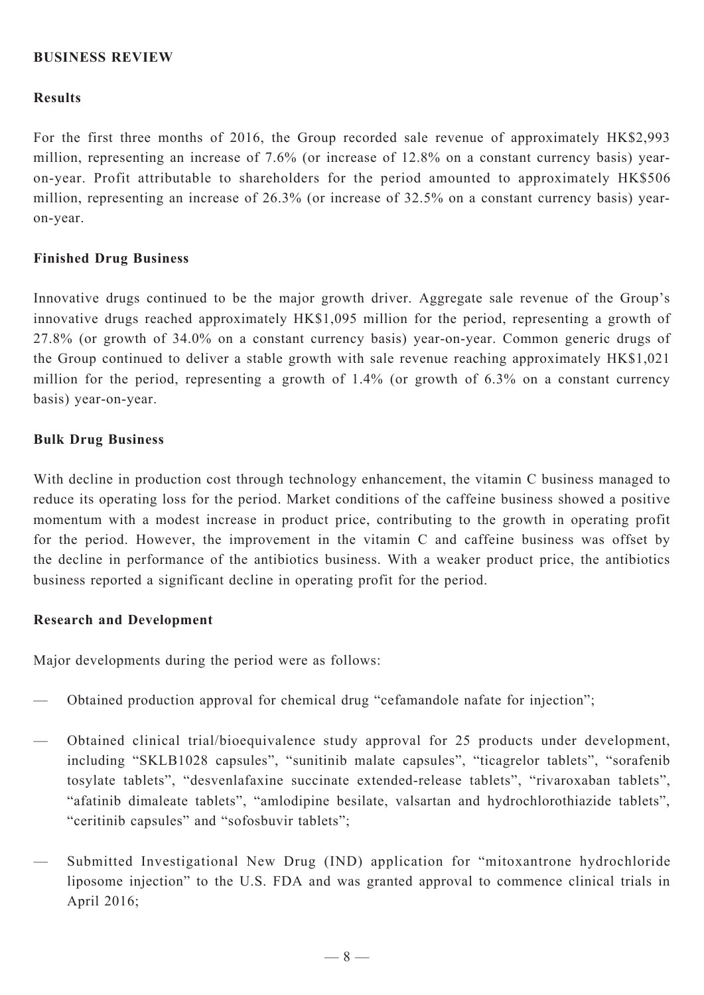### **BUSINESS REVIEW**

#### **Results**

For the first three months of 2016, the Group recorded sale revenue of approximately HK\$2,993 million, representing an increase of 7.6% (or increase of 12.8% on a constant currency basis) yearon-year. Profit attributable to shareholders for the period amounted to approximately HK\$506 million, representing an increase of 26.3% (or increase of 32.5% on a constant currency basis) yearon-year.

#### **Finished Drug Business**

Innovative drugs continued to be the major growth driver. Aggregate sale revenue of the Group's innovative drugs reached approximately HK\$1,095 million for the period, representing a growth of 27.8% (or growth of 34.0% on a constant currency basis) year-on-year. Common generic drugs of the Group continued to deliver a stable growth with sale revenue reaching approximately HK\$1,021 million for the period, representing a growth of 1.4% (or growth of 6.3% on a constant currency basis) year-on-year.

#### **Bulk Drug Business**

With decline in production cost through technology enhancement, the vitamin C business managed to reduce its operating loss for the period. Market conditions of the caffeine business showed a positive momentum with a modest increase in product price, contributing to the growth in operating profit for the period. However, the improvement in the vitamin C and caffeine business was offset by the decline in performance of the antibiotics business. With a weaker product price, the antibiotics business reported a significant decline in operating profit for the period.

### **Research and Development**

Major developments during the period were as follows:

- Obtained production approval for chemical drug "cefamandole nafate for injection";
- Obtained clinical trial/bioequivalence study approval for 25 products under development, including "SKLB1028 capsules", "sunitinib malate capsules", "ticagrelor tablets", "sorafenib tosylate tablets", "desvenlafaxine succinate extended-release tablets", "rivaroxaban tablets", "afatinib dimaleate tablets", "amlodipine besilate, valsartan and hydrochlorothiazide tablets", "ceritinib capsules" and "sofosbuvir tablets";
- Submitted Investigational New Drug (IND) application for "mitoxantrone hydrochloride liposome injection" to the U.S. FDA and was granted approval to commence clinical trials in April 2016;